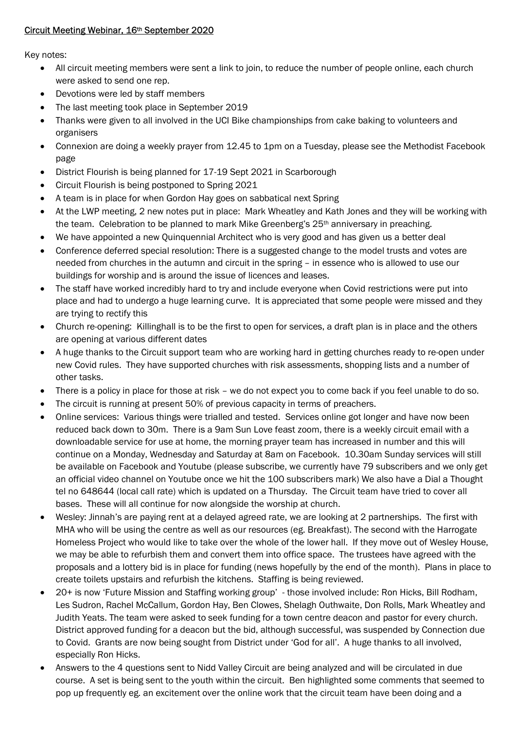## Circuit Meeting Webinar, 16th September 2020

Key notes:

- All circuit meeting members were sent a link to join, to reduce the number of people online, each church were asked to send one rep.
- Devotions were led by staff members
- The last meeting took place in September 2019
- Thanks were given to all involved in the UCI Bike championships from cake baking to volunteers and organisers
- Connexion are doing a weekly prayer from 12.45 to 1pm on a Tuesday, please see the Methodist Facebook page
- District Flourish is being planned for 17-19 Sept 2021 in Scarborough
- Circuit Flourish is being postponed to Spring 2021
- A team is in place for when Gordon Hay goes on sabbatical next Spring
- At the LWP meeting, 2 new notes put in place: Mark Wheatley and Kath Jones and they will be working with the team. Celebration to be planned to mark Mike Greenberg's 25<sup>th</sup> anniversary in preaching.
- We have appointed a new Quinquennial Architect who is very good and has given us a better deal
- Conference deferred special resolution: There is a suggested change to the model trusts and votes are needed from churches in the autumn and circuit in the spring – in essence who is allowed to use our buildings for worship and is around the issue of licences and leases.
- The staff have worked incredibly hard to try and include everyone when Covid restrictions were put into place and had to undergo a huge learning curve. It is appreciated that some people were missed and they are trying to rectify this
- Church re-opening: Killinghall is to be the first to open for services, a draft plan is in place and the others are opening at various different dates
- A huge thanks to the Circuit support team who are working hard in getting churches ready to re-open under new Covid rules. They have supported churches with risk assessments, shopping lists and a number of other tasks.
- There is a policy in place for those at risk we do not expect you to come back if you feel unable to do so.
- The circuit is running at present 50% of previous capacity in terms of preachers.
- Online services: Various things were trialled and tested. Services online got longer and have now been reduced back down to 30m. There is a 9am Sun Love feast zoom, there is a weekly circuit email with a downloadable service for use at home, the morning prayer team has increased in number and this will continue on a Monday, Wednesday and Saturday at 8am on Facebook. 10.30am Sunday services will still be available on Facebook and Youtube (please subscribe, we currently have 79 subscribers and we only get an official video channel on Youtube once we hit the 100 subscribers mark) We also have a Dial a Thought tel no 648644 (local call rate) which is updated on a Thursday. The Circuit team have tried to cover all bases. These will all continue for now alongside the worship at church.
- Wesley: Jinnah's are paying rent at a delayed agreed rate, we are looking at 2 partnerships. The first with MHA who will be using the centre as well as our resources (eg. Breakfast). The second with the Harrogate Homeless Project who would like to take over the whole of the lower hall. If they move out of Wesley House, we may be able to refurbish them and convert them into office space. The trustees have agreed with the proposals and a lottery bid is in place for funding (news hopefully by the end of the month). Plans in place to create toilets upstairs and refurbish the kitchens. Staffing is being reviewed.
- 20+ is now 'Future Mission and Staffing working group' those involved include: Ron Hicks, Bill Rodham, Les Sudron, Rachel McCallum, Gordon Hay, Ben Clowes, Shelagh Outhwaite, Don Rolls, Mark Wheatley and Judith Yeats. The team were asked to seek funding for a town centre deacon and pastor for every church. District approved funding for a deacon but the bid, although successful, was suspended by Connection due to Covid. Grants are now being sought from District under 'God for all'. A huge thanks to all involved, especially Ron Hicks.
- Answers to the 4 questions sent to Nidd Valley Circuit are being analyzed and will be circulated in due course. A set is being sent to the youth within the circuit. Ben highlighted some comments that seemed to pop up frequently eg. an excitement over the online work that the circuit team have been doing and a